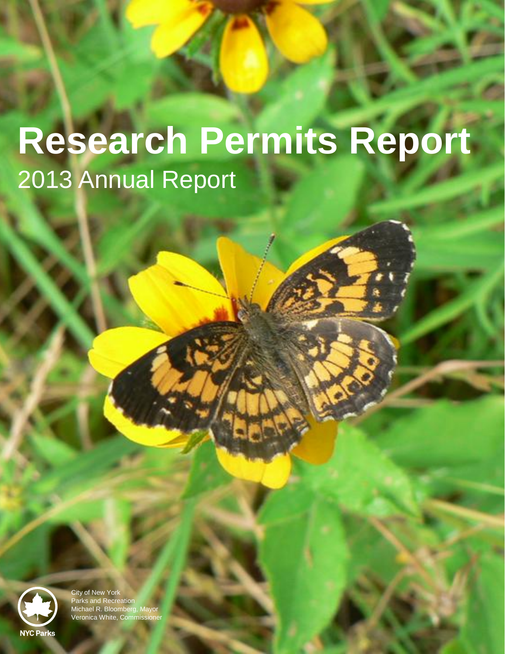# **Research Permits Report** 2013 Annual Report



City of New York Parks and Recreation Michael R. Bloomberg, Mayor Veronica White, Commissioner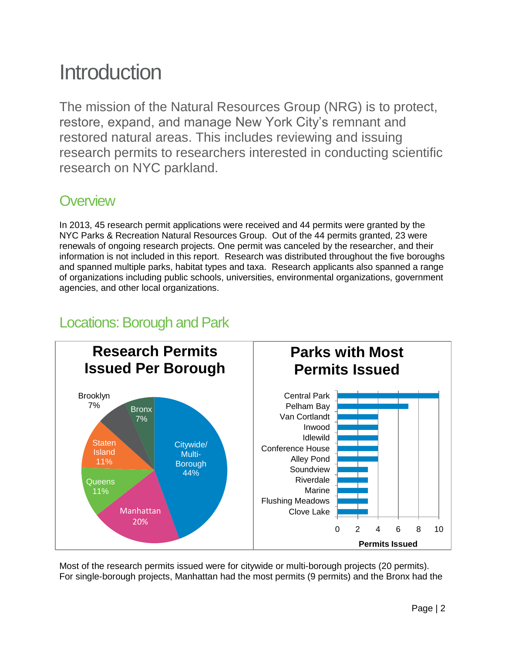## Introduction

The mission of the Natural Resources Group (NRG) is to protect, restore, expand, and manage New York City's remnant and restored natural areas. This includes reviewing and issuing research permits to researchers interested in conducting scientific research on NYC parkland.

## **Overview**

In 2013, 45 research permit applications were received and 44 permits were granted by the NYC Parks & Recreation Natural Resources Group. Out of the 44 permits granted, 23 were renewals of ongoing research projects. One permit was canceled by the researcher, and their information is not included in this report. Research was distributed throughout the five boroughs and spanned multiple parks, habitat types and taxa. Research applicants also spanned a range of organizations including public schools, universities, environmental organizations, government agencies, and other local organizations.



## Locations: Borough and Park

Most of the research permits issued were for citywide or multi-borough projects (20 permits). For single-borough projects, Manhattan had the most permits (9 permits) and the Bronx had the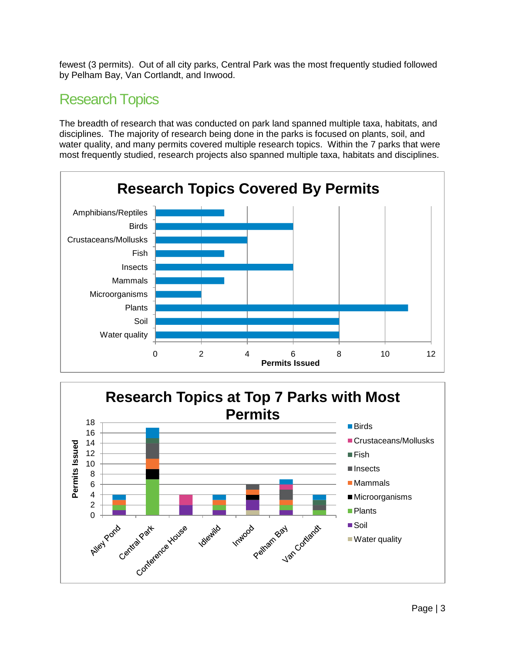fewest (3 permits). Out of all city parks, Central Park was the most frequently studied followed by Pelham Bay, Van Cortlandt, and Inwood.

## Research Topics

The breadth of research that was conducted on park land spanned multiple taxa, habitats, and disciplines. The majority of research being done in the parks is focused on plants, soil, and water quality, and many permits covered multiple research topics. Within the 7 parks that were most frequently studied, research projects also spanned multiple taxa, habitats and disciplines.



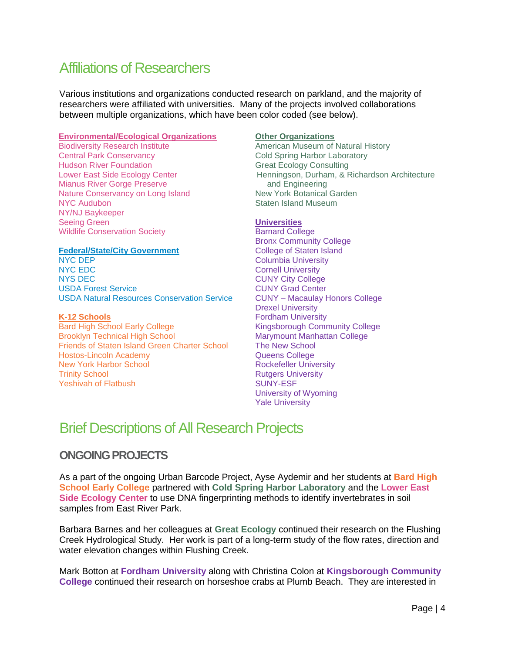## Affiliations of Researchers

Various institutions and organizations conducted research on parkland, and the majority of researchers were affiliated with universities. Many of the projects involved collaborations between multiple organizations, which have been color coded (see below).

#### **Environmental/Ecological Organizations**

Biodiversity Research Institute Central Park Conservancy Hudson River Foundation Lower East Side Ecology Center Mianus River Gorge Preserve Nature Conservancy on Long Island NYC Audubon NY/NJ Baykeeper Seeing Green Wildlife Conservation Society

#### **Federal/State/City Government**

NYC DEP NYC EDC NYS DEC USDA Forest Service USDA Natural Resources Conservation Service

#### **K-12 Schools**

Bard High School Early College Brooklyn Technical High School Friends of Staten Island Green Charter School Hostos-Lincoln Academy New York Harbor School Trinity School Yeshivah of Flatbush

#### **Other Organizations**

American Museum of Natural History Cold Spring Harbor Laboratory Great Ecology Consulting Henningson, Durham, & Richardson Architecture and Engineering New York Botanical Garden Staten Island Museum

#### **Universities**

Barnard College Bronx Community College College of Staten Island Columbia University Cornell University CUNY City College CUNY Grad Center CUNY – Macaulay Honors College Drexel University Fordham University Kingsborough Community College Marymount Manhattan College The New School Queens College Rockefeller University Rutgers University SUNY-ESF University of Wyoming Yale University

## Brief Descriptions of All Research Projects

#### **ONGOING PROJECTS**

As a part of the ongoing Urban Barcode Project, Ayse Aydemir and her students at **Bard High School Early College** partnered with **Cold Spring Harbor Laboratory** and the **Lower East Side Ecology Center** to use DNA fingerprinting methods to identify invertebrates in soil samples from East River Park.

Barbara Barnes and her colleagues at **Great Ecology** continued their research on the Flushing Creek Hydrological Study. Her work is part of a long-term study of the flow rates, direction and water elevation changes within Flushing Creek.

Mark Botton at **Fordham University** along with Christina Colon at **Kingsborough Community College** continued their research on horseshoe crabs at Plumb Beach. They are interested in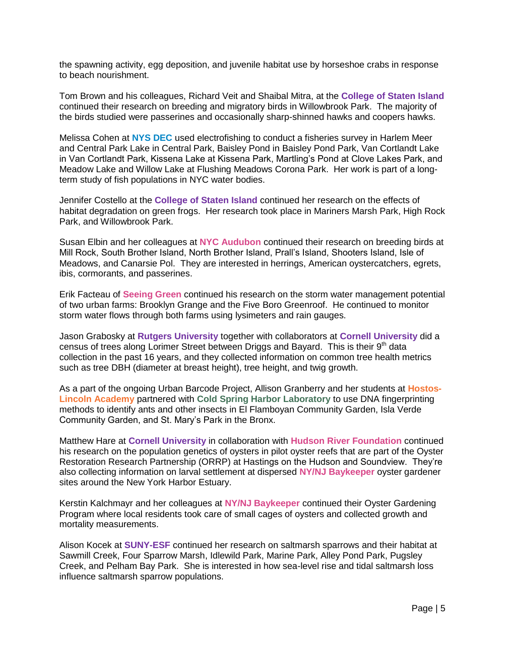the spawning activity, egg deposition, and juvenile habitat use by horseshoe crabs in response to beach nourishment.

Tom Brown and his colleagues, Richard Veit and Shaibal Mitra, at the **College of Staten Island** continued their research on breeding and migratory birds in Willowbrook Park. The majority of the birds studied were passerines and occasionally sharp-shinned hawks and coopers hawks.

Melissa Cohen at **NYS DEC** used electrofishing to conduct a fisheries survey in Harlem Meer and Central Park Lake in Central Park, Baisley Pond in Baisley Pond Park, Van Cortlandt Lake in Van Cortlandt Park, Kissena Lake at Kissena Park, Martling's Pond at Clove Lakes Park, and Meadow Lake and Willow Lake at Flushing Meadows Corona Park. Her work is part of a longterm study of fish populations in NYC water bodies.

Jennifer Costello at the **College of Staten Island** continued her research on the effects of habitat degradation on green frogs. Her research took place in Mariners Marsh Park, High Rock Park, and Willowbrook Park.

Susan Elbin and her colleagues at **NYC Audubon** continued their research on breeding birds at Mill Rock, South Brother Island, North Brother Island, Prall's Island, Shooters Island, Isle of Meadows, and Canarsie Pol. They are interested in herrings, American oystercatchers, egrets, ibis, cormorants, and passerines.

Erik Facteau of **Seeing Green** continued his research on the storm water management potential of two urban farms: Brooklyn Grange and the Five Boro Greenroof. He continued to monitor storm water flows through both farms using lysimeters and rain gauges.

Jason Grabosky at **Rutgers University** together with collaborators at **Cornell University** did a census of trees along Lorimer Street between Driggs and Bayard. This is their  $9<sup>th</sup>$  data collection in the past 16 years, and they collected information on common tree health metrics such as tree DBH (diameter at breast height), tree height, and twig growth.

As a part of the ongoing Urban Barcode Project, Allison Granberry and her students at **Hostos-Lincoln Academy** partnered with **Cold Spring Harbor Laboratory** to use DNA fingerprinting methods to identify ants and other insects in El Flamboyan Community Garden, Isla Verde Community Garden, and St. Mary's Park in the Bronx.

Matthew Hare at **Cornell University** in collaboration with **Hudson River Foundation** continued his research on the population genetics of oysters in pilot oyster reefs that are part of the Oyster Restoration Research Partnership (ORRP) at Hastings on the Hudson and Soundview. They're also collecting information on larval settlement at dispersed **NY/NJ Baykeeper** oyster gardener sites around the New York Harbor Estuary.

Kerstin Kalchmayr and her colleagues at **NY/NJ Baykeeper** continued their Oyster Gardening Program where local residents took care of small cages of oysters and collected growth and mortality measurements.

Alison Kocek at **SUNY-ESF** continued her research on saltmarsh sparrows and their habitat at Sawmill Creek, Four Sparrow Marsh, Idlewild Park, Marine Park, Alley Pond Park, Pugsley Creek, and Pelham Bay Park. She is interested in how sea-level rise and tidal saltmarsh loss influence saltmarsh sparrow populations.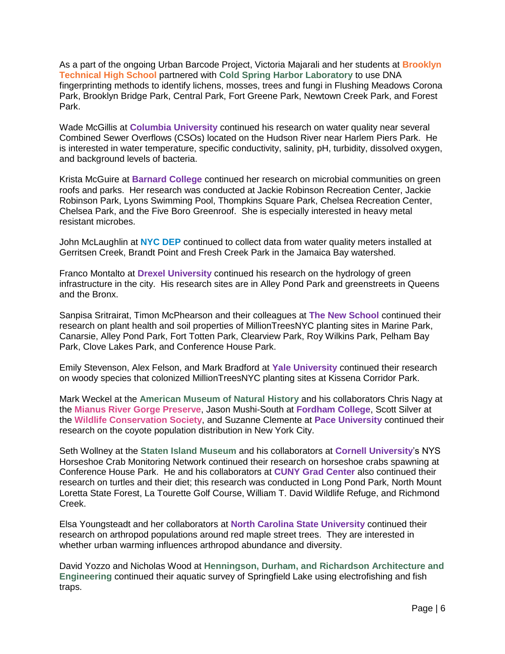As a part of the ongoing Urban Barcode Project, Victoria Majarali and her students at **Brooklyn Technical High School** partnered with **Cold Spring Harbor Laboratory** to use DNA fingerprinting methods to identify lichens, mosses, trees and fungi in Flushing Meadows Corona Park, Brooklyn Bridge Park, Central Park, Fort Greene Park, Newtown Creek Park, and Forest Park.

Wade McGillis at **Columbia University** continued his research on water quality near several Combined Sewer Overflows (CSOs) located on the Hudson River near Harlem Piers Park. He is interested in water temperature, specific conductivity, salinity, pH, turbidity, dissolved oxygen, and background levels of bacteria.

Krista McGuire at **Barnard College** continued her research on microbial communities on green roofs and parks. Her research was conducted at Jackie Robinson Recreation Center, Jackie Robinson Park, Lyons Swimming Pool, Thompkins Square Park, Chelsea Recreation Center, Chelsea Park, and the Five Boro Greenroof. She is especially interested in heavy metal resistant microbes.

John McLaughlin at **NYC DEP** continued to collect data from water quality meters installed at Gerritsen Creek, Brandt Point and Fresh Creek Park in the Jamaica Bay watershed.

Franco Montalto at **Drexel University** continued his research on the hydrology of green infrastructure in the city. His research sites are in Alley Pond Park and greenstreets in Queens and the Bronx.

Sanpisa Sritrairat, Timon McPhearson and their colleagues at **The New School** continued their research on plant health and soil properties of MillionTreesNYC planting sites in Marine Park, Canarsie, Alley Pond Park, Fort Totten Park, Clearview Park, Roy Wilkins Park, Pelham Bay Park, Clove Lakes Park, and Conference House Park.

Emily Stevenson, Alex Felson, and Mark Bradford at **Yale University** continued their research on woody species that colonized MillionTreesNYC planting sites at Kissena Corridor Park.

Mark Weckel at the **American Museum of Natural History** and his collaborators Chris Nagy at the **Mianus River Gorge Preserve**, Jason Mushi-South at **Fordham College**, Scott Silver at the **Wildlife Conservation Society**, and Suzanne Clemente at **Pace University** continued their research on the coyote population distribution in New York City.

Seth Wollney at the **Staten Island Museum** and his collaborators at **Cornell University**'s NYS Horseshoe Crab Monitoring Network continued their research on horseshoe crabs spawning at Conference House Park. He and his collaborators at **CUNY Grad Center** also continued their research on turtles and their diet; this research was conducted in Long Pond Park, North Mount Loretta State Forest, La Tourette Golf Course, William T. David Wildlife Refuge, and Richmond Creek.

Elsa Youngsteadt and her collaborators at **North Carolina State University** continued their research on arthropod populations around red maple street trees. They are interested in whether urban warming influences arthropod abundance and diversity.

David Yozzo and Nicholas Wood at **Henningson, Durham, and Richardson Architecture and Engineering** continued their aquatic survey of Springfield Lake using electrofishing and fish traps.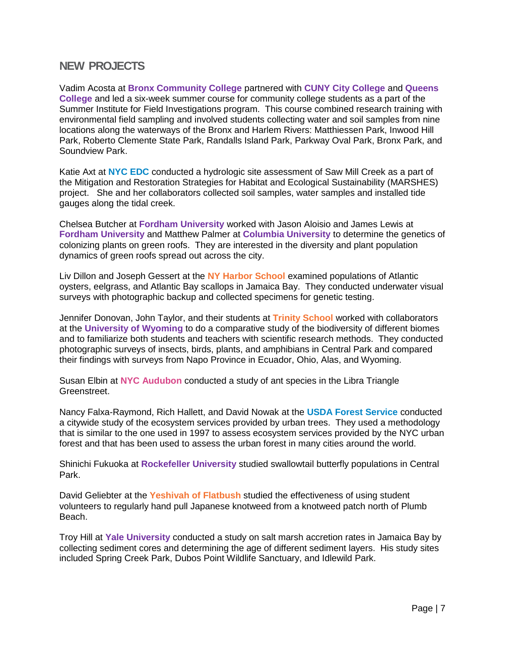#### **NEW PROJECTS**

Vadim Acosta at **Bronx Community College** partnered with **CUNY City College** and **Queens College** and led a six-week summer course for community college students as a part of the Summer Institute for Field Investigations program. This course combined research training with environmental field sampling and involved students collecting water and soil samples from nine locations along the waterways of the Bronx and Harlem Rivers: Matthiessen Park, Inwood Hill Park, Roberto Clemente State Park, Randalls Island Park, Parkway Oval Park, Bronx Park, and Soundview Park.

Katie Axt at **NYC EDC** conducted a hydrologic site assessment of Saw Mill Creek as a part of the Mitigation and Restoration Strategies for Habitat and Ecological Sustainability (MARSHES) project. She and her collaborators collected soil samples, water samples and installed tide gauges along the tidal creek.

Chelsea Butcher at **Fordham University** worked with Jason Aloisio and James Lewis at **Fordham University** and Matthew Palmer at **Columbia University** to determine the genetics of colonizing plants on green roofs. They are interested in the diversity and plant population dynamics of green roofs spread out across the city.

Liv Dillon and Joseph Gessert at the **NY Harbor School** examined populations of Atlantic oysters, eelgrass, and Atlantic Bay scallops in Jamaica Bay. They conducted underwater visual surveys with photographic backup and collected specimens for genetic testing.

Jennifer Donovan, John Taylor, and their students at **Trinity School** worked with collaborators at the **University of Wyoming** to do a comparative study of the biodiversity of different biomes and to familiarize both students and teachers with scientific research methods. They conducted photographic surveys of insects, birds, plants, and amphibians in Central Park and compared their findings with surveys from Napo Province in Ecuador, Ohio, Alas, and Wyoming.

Susan Elbin at **NYC Audubon** conducted a study of ant species in the Libra Triangle Greenstreet.

Nancy Falxa-Raymond, Rich Hallett, and David Nowak at the **USDA Forest Service** conducted a citywide study of the ecosystem services provided by urban trees. They used a methodology that is similar to the one used in 1997 to assess ecosystem services provided by the NYC urban forest and that has been used to assess the urban forest in many cities around the world.

Shinichi Fukuoka at **Rockefeller University** studied swallowtail butterfly populations in Central Park.

David Geliebter at the **Yeshivah of Flatbush** studied the effectiveness of using student volunteers to regularly hand pull Japanese knotweed from a knotweed patch north of Plumb Beach.

Troy Hill at **Yale University** conducted a study on salt marsh accretion rates in Jamaica Bay by collecting sediment cores and determining the age of different sediment layers. His study sites included Spring Creek Park, Dubos Point Wildlife Sanctuary, and Idlewild Park.